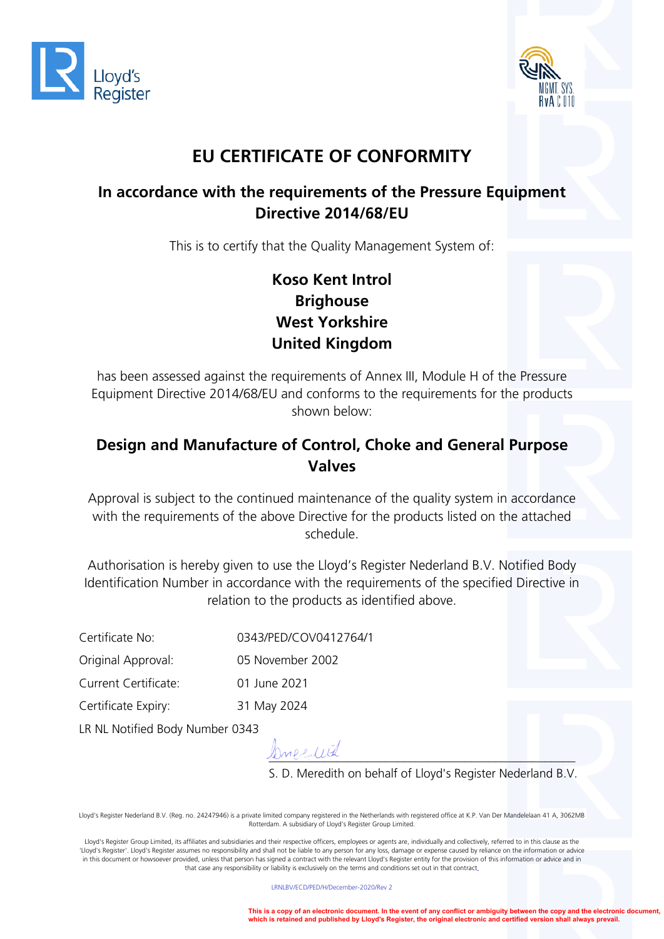



# **EU CERTIFICATE OF CONFORMITY**

#### **In accordance with the requirements of the Pressure Equipment Directive 2014/68/EU**

This is to certify that the Quality Management System of:

# **Koso Kent Introl Brighouse West Yorkshire United Kingdom**

has been assessed against the requirements of Annex III, Module H of the Pressure Equipment Directive 2014/68/EU and conforms to the requirements for the products shown below:

#### **Design and Manufacture of Control, Choke and General Purpose Valves**

Approval is subject to the continued maintenance of the quality system in accordance with the requirements of the above Directive for the products listed on the attached schedule.

Authorisation is hereby given to use the Lloyd's Register Nederland B.V. Notified Body Identification Number in accordance with the requirements of the specified Directive in relation to the products as identified above.

Certificate No: 0343/PED/COV0412764/1

Original Approval: 05 November 2002

Current Certificate: 01 June 2021

Certificate Expiry: 31 May 2024

LR NL Notified Body Number 0343

*\_\_\_\_\_\_\_\_\_\_\_\_\_\_\_\_\_\_\_\_\_\_\_\_\_\_\_\_\_\_\_\_\_\_\_\_\_\_\_\_\_\_\_\_\_\_\_\_\_\_* 

S. D. Meredith on behalf of Lloyd's Register Nederland B.V.

Lloyd's Register Nederland B.V. (Reg. no. 24247946) is a private limited company registered in the Netherlands with registered office at K.P. Van Der Mandelelaan 41 A, 3062MB Rotterdam. A subsidiary of Lloyd's Register Group Limited.

Lloyd's Register Group Limited, its affiliates and subsidiaries and their respective officers, employees or agents are, individually and collectively, referred to in this clause as the 'Lloyd's Register'. Lloyd's Register assumes no responsibility and shall not be liable to any person for any loss, damage or expense caused by reliance on the information or advice in this document or howsoever provided, unless that person has signed a contract with the relevant Lloyd's Register entity for the provision of this information or advice and in that case any responsibility or liability is exclusively on the terms and conditions set out in that contract.